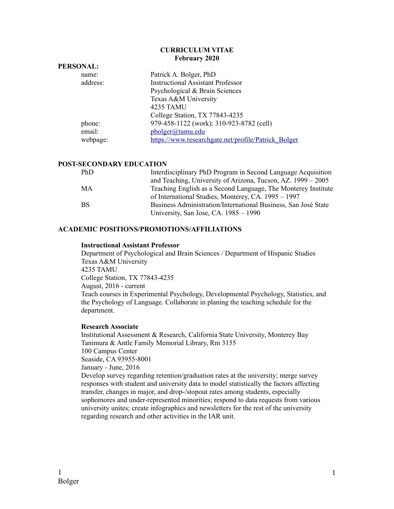#### **CURRICULUM VITAE February 2020**

| PERSONAL: |          |                                                     |
|-----------|----------|-----------------------------------------------------|
|           | name:    | Patrick A. Bolger, PhD                              |
|           | address: | <b>Instructional Assistant Professor</b>            |
|           |          | Psychological & Brain Sciences                      |
|           |          | Texas A&M University                                |
|           |          | 4235 TAMU                                           |
|           |          | College Station, TX 77843-4235                      |
|           | phone:   | 979-458-1122 (work); 310-923-8782 (cell)            |
|           | email:   | pbolger@tamu.edu                                    |
|           | webpage: | https://www.researchgate.net/profile/Patrick Bolger |
|           |          |                                                     |

## **POST-SECONDARY EDUCATION**

**PERSONAL:**

| PhD       | Interdisciplinary PhD Program in Second Language Acquisition   |  |
|-----------|----------------------------------------------------------------|--|
|           | and Teaching, University of Arizona, Tucson, AZ. 1999 – 2005   |  |
| МA        | Teaching English as a Second Language, The Monterey Institute  |  |
|           | of International Studies, Monterey, CA. 1995 – 1997            |  |
| <b>BS</b> | Business Administration/International Business, San José State |  |
|           | University, San Jose, CA. 1985 – 1990                          |  |

### **ACADEMIC POSITIONS/PROMOTIONS/AFFILIATIONS**

#### **Instructional Assistant Professor**

Department of Psychological and Brain Sciences / Department of Hispanic Studies Texas A&M University 4235 TAMU College Station, TX 77843-4235 August, 2016 - current Teach courses in Experimental Psychology, Developmental Psychology, Statistics, and the Psychology of Language. Collaborate in planing the teaching schedule for the department.

#### **Research Associate**

Institutional Assessment & Research, California State University, Monterey Bay Tanimura & Antle Family Memorial Library, Rm 3155 100 Campus Center Seaside, CA 93955-8001 January - June, 2016 Develop survey regarding retention/graduation rates at the university; merge survey responses with student and university data to model statistically the factors affecting transfer, changes in major, and drop-/stopout rates among students, especially sophomores and under-represented minorities; respond to data requests from various university unites; create infographics and newsletters for the rest of the university regarding research and other activities in the IAR unit.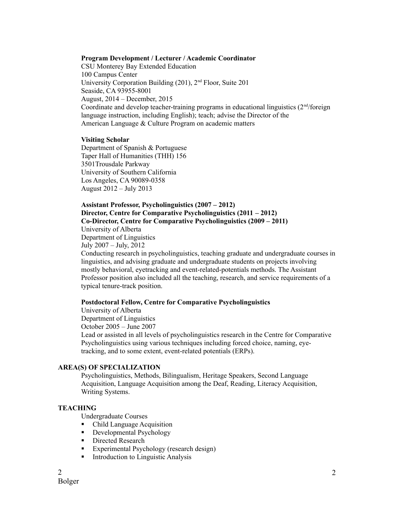#### **Program Development / Lecturer / Academic Coordinator**

CSU Monterey Bay Extended Education 100 Campus Center University Corporation Building (201), 2nd Floor, Suite 201 Seaside, CA 93955-8001 August, 2014 – December, 2015 Coordinate and develop teacher-training programs in educational linguistics  $(2<sup>nd</sup>/6<sup>rd</sup>)$ language instruction, including English); teach; advise the Director of the American Language & Culture Program on academic matters

#### **Visiting Scholar**

Department of Spanish & Portuguese Taper Hall of Humanities (THH) 156 3501Trousdale Parkway University of Southern California Los Angeles, CA 90089-0358 August 2012 – July 2013

### **Assistant Professor, Psycholinguistics (2007 – 2012) Director, Centre for Comparative Psycholinguistics (2011 – 2012) Co-Director, Centre for Comparative Psycholinguistics (2009 – 2011)**

University of Alberta Department of Linguistics July 2007 – July, 2012

Conducting research in psycholinguistics, teaching graduate and undergraduate courses in linguistics, and advising graduate and undergraduate students on projects involving mostly behavioral, eyetracking and event-related-potentials methods. The Assistant Professor position also included all the teaching, research, and service requirements of a typical tenure-track position.

### **Postdoctoral Fellow, Centre for Comparative Psycholinguistics**

University of Alberta Department of Linguistics October 2005 – June 2007

Lead or assisted in all levels of psycholinguistics research in the Centre for Comparative Psycholinguistics using various techniques including forced choice, naming, eyetracking, and to some extent, event-related potentials (ERPs).

## **AREA(S) OF SPECIALIZATION**

Psycholinguistics, Methods, Bilingualism, Heritage Speakers, Second Language Acquisition, Language Acquisition among the Deaf, Reading, Literacy Acquisition, Writing Systems.

### **TEACHING**

Undergraduate Courses

- Child Language Acquisition
- **-** Developmental Psychology
- **Directed Research**
- **Experimental Psychology (research design)**
- **Introduction to Linguistic Analysis**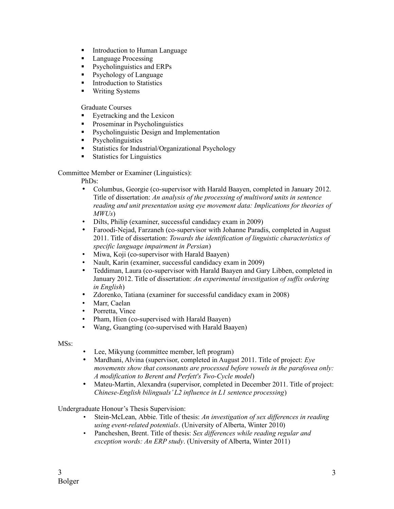- **Introduction to Human Language**
- **Language Processing**
- **Psycholinguistics and ERPs**
- **Psychology of Language**
- **Introduction to Statistics**
- **Writing Systems**

Graduate Courses

- Eyetracking and the Lexicon
- **Proseminar in Psycholinguistics**
- **•** Psycholinguistic Design and Implementation
- Psycholinguistics
- **Statistics for Industrial/Organizational Psychology**
- **Statistics for Linguistics**

Committee Member or Examiner (Linguistics):

PhDs:

- Columbus, Georgie (co-supervisor with Harald Baayen, completed in January 2012. Title of dissertation: *An analysis of the processing of multiword units in sentence reading and unit presentation using eye movement data: Implications for theories of MWUs*)
- Dilts, Philip (examiner, successful candidacy exam in 2009)
- Faroodi-Nejad, Farzaneh (co-supervisor with Johanne Paradis, completed in August 2011. Title of dissertation: *Towards the identification of linguistic characteristics of specific language impairment in Persian*)
- Miwa, Koji (co-supervisor with Harald Baayen)
- Nault, Karin (examiner, successful candidacy exam in 2009)
- Teddiman, Laura (co-supervisor with Harald Baayen and Gary Libben, completed in January 2012. Title of dissertation: *An experimental investigation of suffix ordering in English*)
- Zdorenko, Tatiana (examiner for successful candidacy exam in 2008)
- Marr, Caelan
- Porretta, Vince
- Pham, Hien (co-supervised with Harald Baayen)
- Wang, Guangting (co-supervised with Harald Baayen)

MSs:

- Lee, Mikyung (committee member, left program)
- Mardhani, Alvina (supervisor, completed in August 2011. Title of project: *Eye movements show that consonants are processed before vowels in the parafovea only: A modification to Berent and Perfett's Two-Cycle model*)
- Mateu-Martin, Alexandra (supervisor, completed in December 2011. Title of project: *Chinese-English bilinguals' L2 influence in L1 sentence processing*)

Undergraduate Honour's Thesis Supervision:

- Stein-McLean, Abbie. Title of thesis: *An investigation of sex differences in reading using event-related potentials*. (University of Alberta, Winter 2010)
- Pancheshen, Brent. Title of thesis: *Sex differences while reading regular and exception words: An ERP study*. (University of Alberta, Winter 2011)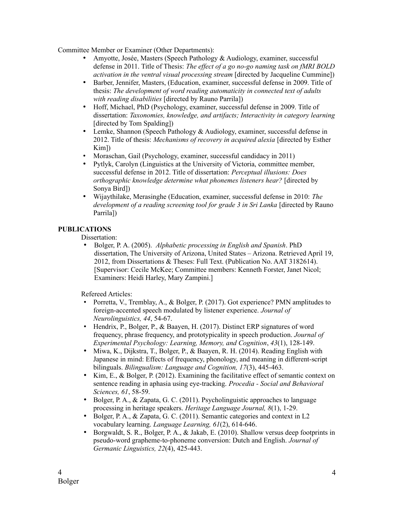Committee Member or Examiner (Other Departments):

- Amyotte, Josée, Masters (Speech Pathology & Audiology, examiner, successful defense in 2011. Title of Thesis: *The effect of a go no-go naming task on fMRI BOLD activation in the ventral visual processing stream* [directed by Jacqueline Cummine])
- Barber, Jennifer, Masters, (Education, examiner, successful defense in 2009. Title of thesis: *The development of word reading automaticity in connected text of adults with reading disabilities* [directed by Rauno Parrila])
- Hoff, Michael, PhD (Psychology, examiner, successful defense in 2009. Title of dissertation: *Taxonomies, knowledge, and artifacts; Interactivity in category learning* [directed by Tom Spalding])
- Lemke, Shannon (Speech Pathology & Audiology, examiner, successful defense in 2012. Title of thesis: *Mechanisms of recovery in acquired alexia* [directed by Esther Kim])
- Moraschan, Gail (Psychology, examiner, successful candidacy in 2011)
- Pytlyk, Carolyn (Linguistics at the University of Victoria, committee member, successful defense in 2012. Title of dissertation: *Perceptual illusions: Does orthographic knowledge determine what phonemes listeners hear?* [directed by Sonya Bird])
- Wijaythilake, Merasinghe (Education, examiner, successful defense in 2010: *The development of a reading screening tool for grade 3 in Sri Lanka* [directed by Rauno Parrila])

# **PUBLICATIONS**

Dissertation:

• Bolger, P. A. (2005). *Alphabetic processing in English and Spanish*. PhD dissertation, The University of Arizona, United States – Arizona. Retrieved April 19, 2012, from Dissertations & Theses: Full Text. (Publication No. AAT 3182614). [Supervisor: Cecile McKee; Committee members: Kenneth Forster, Janet Nicol; Examiners: Heidi Harley, Mary Zampini.]

Refereed Articles:

- Porretta, V., Tremblay, A., & Bolger, P. (2017). Got experience? PMN amplitudes to foreign-accented speech modulated by listener experience. *Journal of Neurolinguistics, 44*, 54-67.
- Hendrix, P., Bolger, P., & Baayen, H. (2017). Distinct ERP signatures of word frequency, phrase frequency, and prototypicality in speech production. *Journal of Experimental Psychology: Learning, Memory, and Cognition*, *43*(1), 128-149.
- Miwa, K., Dijkstra, T., Bolger, P., & Baayen, R. H. (2014). Reading English with Japanese in mind: Effects of frequency, phonology, and meaning in different-script bilinguals. *Bilingualism: Language and Cognition, 17*(3), 445-463.
- Kim, E., & Bolger, P. (2012). Examining the facilitative effect of semantic context on sentence reading in aphasia using eye-tracking. *Procedia - Social and Behavioral Sciences, 61*, 58-59.
- Bolger, P. A., & Zapata, G. C. (2011). Psycholinguistic approaches to language processing in heritage speakers. *Heritage Language Journal, 8*(1), 1-29.
- Bolger, P. A., & Zapata, G. C. (2011). Semantic categories and context in L2 vocabulary learning. *Language Learning, 61*(2), 614-646.
- Borgwaldt, S. R., Bolger, P. A., & Jakab, E. (2010). Shallow versus deep footprints in pseudo-word grapheme-to-phoneme conversion: Dutch and English. *Journal of Germanic Linguistics, 22*(4), 425-443.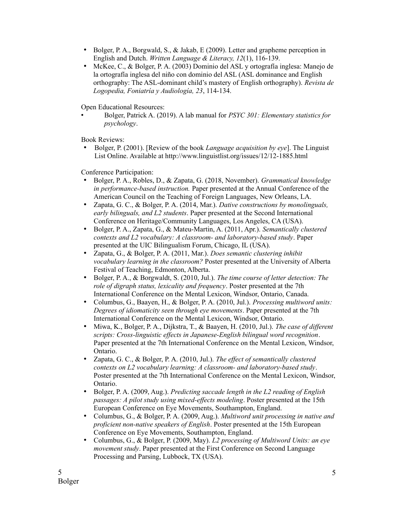- Bolger, P. A., Borgwald, S., & Jakab, E (2009). Letter and grapheme perception in English and Dutch. *Written Language & Literacy, 12*(1), 116-139.
- McKee, C., & Bolger, P. A. (2003) Dominio del ASL y ortografía inglesa: Manejo de la ortografía inglesa del niño con dominio del ASL (ASL dominance and English orthography: The ASL-dominant child's mastery of English orthography). *Revista de Logopedia, Foniatría y Audiología, 23*, 114-134.

Open Educational Resources:

• Bolger, Patrick A. (2019). A lab manual for *PSYC 301: Elementary statistics for psychology*.

Book Reviews:

• Bolger, P. (2001). [Review of the book *Language acquisition by eye*]. The Linguist List Online. Available at http://www.linguistlist.org/issues/12/12-1885.html

Conference Participation:

- Bolger, P. A., Robles, D., & Zapata, G. (2018, November). *Grammatical knowledge in performance-based instruction.* Paper presented at the Annual Conference of the American Council on the Teaching of Foreign Languages, New Orleans, LA.
- Zapata, G. C., & Bolger, P. A. (2014, Mar.). *Dative constructions by monolinguals, early bilinguals, and L2 students*. Paper presented at the Second International Conference on Heritage/Community Languages, Los Angeles, CA (USA).
- Bolger, P. A., Zapata, G., & Mateu-Martin, A. (2011, Apr.). *Semantically clustered contexts and L2 vocabulary: A classroom- and laboratory-based study*. Paper presented at the UIC Bilingualism Forum, Chicago, IL (USA).
- Zapata, G., & Bolger, P. A. (2011, Mar.). *Does semantic clustering inhibit vocabulary learning in the classroom?* Poster presented at the University of Alberta Festival of Teaching, Edmonton, Alberta.
- Bolger, P. A., & Borgwaldt, S. (2010, Jul.). *The time course of letter detection: The role of digraph status, lexicality and frequency*. Poster presented at the 7th International Conference on the Mental Lexicon, Windsor, Ontario, Canada.
- Columbus, G., Baayen, H., & Bolger, P. A. (2010, Jul.). *Processing multiword units: Degrees of idiomaticity seen through eye movements*. Paper presented at the 7th International Conference on the Mental Lexicon, Windsor, Ontario.
- Miwa, K., Bolger, P. A., Dijkstra, T., & Baayen, H. (2010, Jul.). *The case of different scripts: Cross-linguistic effects in Japanese-English bilingual word recognition*. Paper presented at the 7th International Conference on the Mental Lexicon, Windsor, Ontario.
- Zapata, G. C., & Bolger, P. A. (2010, Jul.). *The effect of semantically clustered contexts on L2 vocabulary learning: A classroom- and laboratory-based study*. Poster presented at the 7th International Conference on the Mental Lexicon, Windsor, Ontario.
- Bolger, P. A. (2009, Aug.). *Predicting saccade length in the L2 reading of English passages: A pilot study using mixed-effects modeling*. Poster presented at the 15th European Conference on Eye Movements, Southampton, England.
- Columbus, G., & Bolger, P. A. (2009, Aug.). *Multiword unit processing in native and proficient non-native speakers of English*. Poster presented at the 15th European Conference on Eye Movements, Southampton, England.
- Columbus, G., & Bolger, P. (2009, May). *L2 processing of Multiword Units: an eye movement study*. Paper presented at the First Conference on Second Language Processing and Parsing, Lubbock, TX (USA).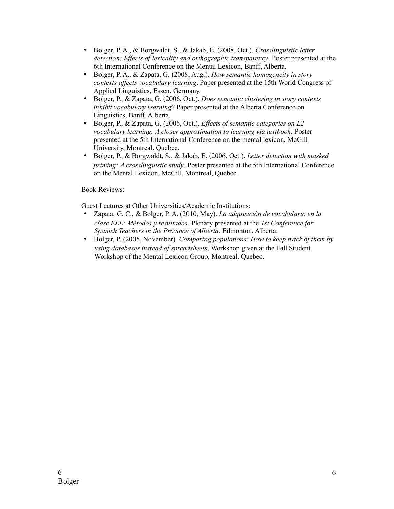- Bolger, P. A., & Borgwaldt, S., & Jakab, E. (2008, Oct.). *Crosslinguistic letter detection: Effects of lexicality and orthographic transparency*. Poster presented at the 6th International Conference on the Mental Lexicon, Banff, Alberta.
- Bolger, P. A., & Zapata, G. (2008, Aug.). *How semantic homogeneity in story contexts affects vocabulary learning*. Paper presented at the 15th World Congress of Applied Linguistics, Essen, Germany.
- Bolger, P., & Zapata, G. (2006, Oct.). *Does semantic clustering in story contexts inhibit vocabulary learning*? Paper presented at the Alberta Conference on Linguistics, Banff, Alberta.
- Bolger, P., & Zapata, G. (2006, Oct.). *Effects of semantic categories on L2 vocabulary learning: A closer approximation to learning via textbook*. Poster presented at the 5th International Conference on the mental lexicon, McGill University, Montreal, Quebec.
- Bolger, P., & Borgwaldt, S., & Jakab, E. (2006, Oct.). *Letter detection with masked priming: A crosslinguistic study*. Poster presented at the 5th International Conference on the Mental Lexicon, McGill, Montreal, Quebec.

Book Reviews:

Guest Lectures at Other Universities/Academic Institutions:

- Zapata, G. C., & Bolger, P. A. (2010, May). *La adquisición de vocabulario en la clase ELE: Métodos y resultados*. Plenary presented at the *1st Conference for Spanish Teachers in the Province of Alberta*. Edmonton, Alberta.
- Bolger, P. (2005, November). *Comparing populations: How to keep track of them by using databases instead of spreadsheets*. Workshop given at the Fall Student Workshop of the Mental Lexicon Group, Montreal, Quebec.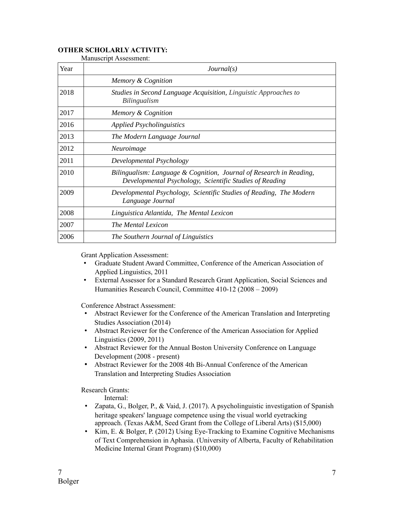## **OTHER SCHOLARLY ACTIVITY:**

| Year | Journal(s)                                                                                                                     |  |
|------|--------------------------------------------------------------------------------------------------------------------------------|--|
|      | Memory & Cognition                                                                                                             |  |
| 2018 | Studies in Second Language Acquisition, Linguistic Approaches to<br>Bilingualism                                               |  |
| 2017 | Memory & Cognition                                                                                                             |  |
| 2016 | <b>Applied Psycholinguistics</b>                                                                                               |  |
| 2013 | The Modern Language Journal                                                                                                    |  |
| 2012 | Neuroimage                                                                                                                     |  |
| 2011 | Developmental Psychology                                                                                                       |  |
| 2010 | Bilingualism: Language & Cognition, Journal of Research in Reading,<br>Developmental Psychology, Scientific Studies of Reading |  |
| 2009 | Developmental Psychology, Scientific Studies of Reading, The Modern<br>Language Journal                                        |  |
| 2008 | Linguistica Atlantida, The Mental Lexicon                                                                                      |  |
| 2007 | The Mental Lexicon                                                                                                             |  |
| 2006 | The Southern Journal of Linguistics                                                                                            |  |

Manuscript Assessment:

Grant Application Assessment:

- Graduate Student Award Committee, Conference of the American Association of Applied Linguistics, 2011
- External Assessor for a Standard Research Grant Application, Social Sciences and Humanities Research Council, Committee 410-12 (2008 – 2009)

Conference Abstract Assessment:

- Abstract Reviewer for the Conference of the American Translation and Interpreting Studies Association (2014)
- Abstract Reviewer for the Conference of the American Association for Applied Linguistics (2009, 2011)
- Abstract Reviewer for the Annual Boston University Conference on Language Development (2008 - present)
- Abstract Reviewer for the 2008 4th Bi-Annual Conference of the American Translation and Interpreting Studies Association

Research Grants:

Internal:

- Zapata, G., Bolger, P., & Vaid, J. (2017). A psycholinguistic investigation of Spanish heritage speakers' language competence using the visual world eyetracking approach. (Texas A&M, Seed Grant from the College of Liberal Arts) (\$15,000)
- Kim, E. & Bolger, P. (2012) Using Eye-Tracking to Examine Cognitive Mechanisms of Text Comprehension in Aphasia. (University of Alberta, Faculty of Rehabilitation Medicine Internal Grant Program) (\$10,000)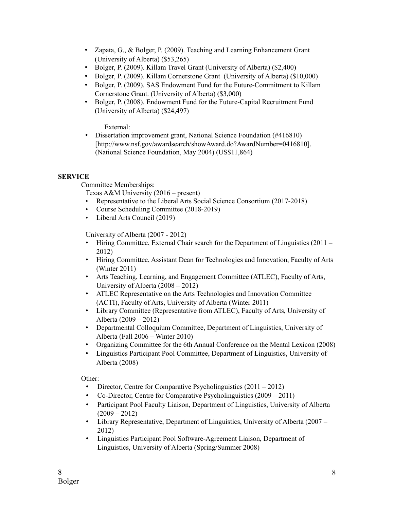- Zapata, G., & Bolger, P. (2009). Teaching and Learning Enhancement Grant (University of Alberta) (\$53,265)
- Bolger, P. (2009). Killam Travel Grant (University of Alberta) (\$2,400)
- Bolger, P. (2009). Killam Cornerstone Grant (University of Alberta) (\$10,000)
- Bolger, P. (2009). SAS Endowment Fund for the Future-Commitment to Killam Cornerstone Grant. (University of Alberta) (\$3,000)
- Bolger, P. (2008). Endowment Fund for the Future-Capital Recruitment Fund (University of Alberta) (\$24,497)

External:

• Dissertation improvement grant, National Science Foundation (#416810) [http://www.nsf.gov/awardsearch/showAward.do?AwardNumber=0416810]. (National Science Foundation, May 2004) (US\$11,864)

# **SERVICE**

Committee Memberships:

Texas A&M University (2016 – present)

- Representative to the Liberal Arts Social Science Consortium (2017-2018)
- Course Scheduling Committee (2018-2019)
- Liberal Arts Council (2019)

University of Alberta (2007 - 2012)

- Hiring Committee, External Chair search for the Department of Linguistics (2011 2012)
- Hiring Committee, Assistant Dean for Technologies and Innovation, Faculty of Arts (Winter 2011)
- Arts Teaching, Learning, and Engagement Committee (ATLEC), Faculty of Arts, University of Alberta (2008 – 2012)
- ATLEC Representative on the Arts Technologies and Innovation Committee (ACTI), Faculty of Arts, University of Alberta (Winter 2011)
- Library Committee (Representative from ATLEC), Faculty of Arts, University of Alberta (2009 – 2012)
- Departmental Colloquium Committee, Department of Linguistics, University of Alberta (Fall 2006 – Winter 2010)
- Organizing Committee for the 6th Annual Conference on the Mental Lexicon (2008)
- Linguistics Participant Pool Committee, Department of Linguistics, University of Alberta (2008)

Other:

- Director, Centre for Comparative Psycholinguistics (2011 2012)
- Co-Director, Centre for Comparative Psycholinguistics (2009 2011)
- Participant Pool Faculty Liaison, Department of Linguistics, University of Alberta  $(2009 - 2012)$
- Library Representative, Department of Linguistics, University of Alberta (2007 2012)
- Linguistics Participant Pool Software-Agreement Liaison, Department of Linguistics, University of Alberta (Spring/Summer 2008)